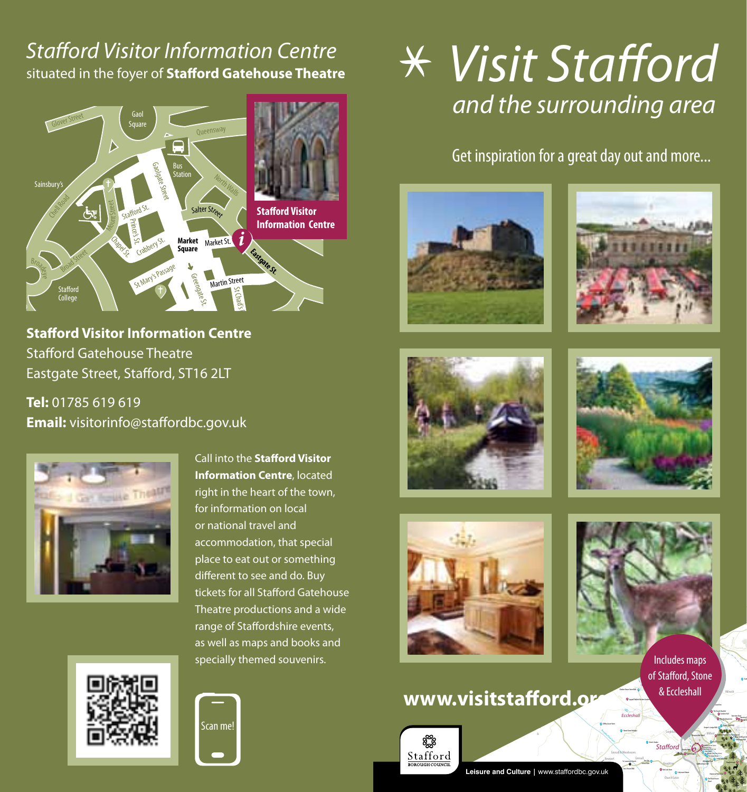## **Stafford Visitor Information Centre** situated in the foyer of **Stafford Gatehouse Theatre**



**Stafford Visitor Information Centre** Stafford Gatehouse Theatre  $M_{\rm{max}}$ IS<br>St. en<br>Eastgate Street, Stafford, ST16 2LT

**Tel:** 01785 619 619 **Tel:** 01785 619 619<br>**Email:** visitorinfo@staffordbc.gov.uk



**Call into the Stafford Visitor Information Centre**, located **Information Centre**, located<br>right in the heart of the town,<br>facial famosities as bood for information on local or national travel and accommodation, that special place to eat out or something<br>different to see and do. Buy different to see and do. Buy tickets for all Stafford Gatehouse Theatre productions and a wide range of Staffordshire events, as well as maps and books and specially themed souvenirs. e to eat o<br>:rent to se<br>:ts for all





# *Visit Stafford and the surrounding area*

Get inspiration for a great day out and more...









**Manual Extreme Road**<br>Trenthales maps

A520

Fulford

 $L^*$ 

Milwich

Millord Hawwood & Hixon

St Mary the Virgin Church

Penkridge Bank

Hotel Silver Trees Holiday Park

 $\overline{\phantom{a}}$ 

River Sow

**Quantity** 

& Eccleshall menues maps<br>of Stafford, Stone

> Stone Road A513

The Dog & Doublet Izaak Walton's Cottage The Hollybush Inn The Mill at Wildlife Reserves And The Mill at Wildlife Reserves Centre Reserves Centre Reserves

**Tillington Hall Hot** 

Keeper/Lodge B&B Staordshire County Showground Ingestre Stables Park Farm B&B

 $\overline{\phantom{a}}$ A449 Licheld Rd.  $\mathcal{L}$ Teddesley Rd.

Rowley Park Wildwood Park

River Sow

**Seighford** 

Oey Grove Farm Rook's New York's New York's New York's New York's New York's New York's New York's New York's New York's New York's New York's New York's New York's New York's New York's New York's New York's New York's Ne

Haughton

**Stafford** 

Church Eaton

A449

Leonard Castle Castle Guest House State

State Club Club



## www.visitstafford.org



Leisure and Culture | www.staffordbc.gov.uk

Stoke-On-Trent Cannock Wolverhampton

Staord

A41 Chester Road

Shropshire Union Canal

Gnosall & Woodseaves

St. Lawrence Church

*Eccleshall*

Slindon House Farm B&B Fairoak Barns Sugnall Walled Kitchen Garden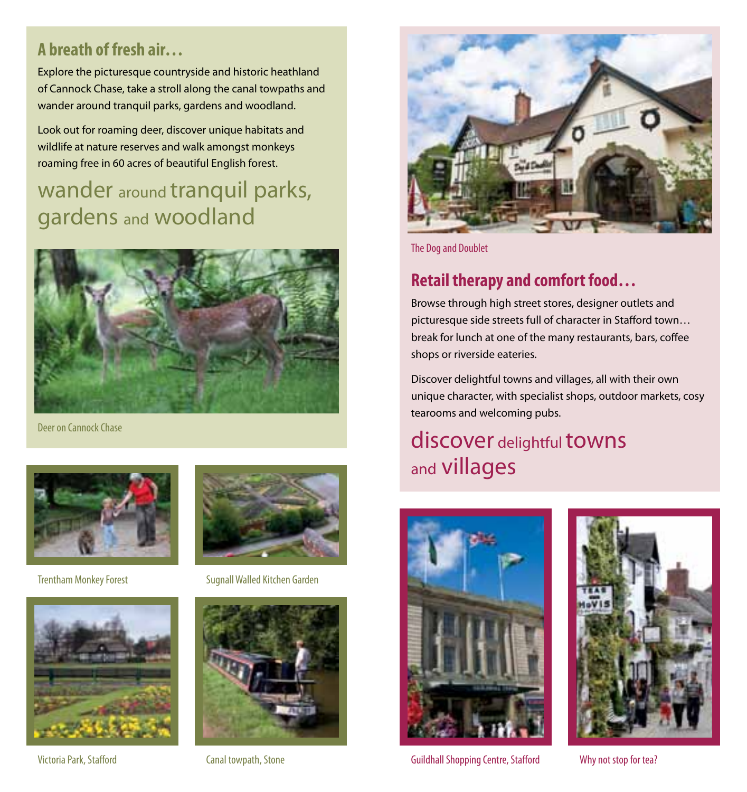#### **A breath of fresh air…**

Explore the picturesque countryside and historic heathland of Cannock Chase, take a stroll along the canal towpaths and wander around tranquil parks, gardens and woodland.

Look out for roaming deer, discover unique habitats and wildlife at nature reserves and walk amongst monkeys roaming free in 60 acres of beautiful English forest.

# wander around tranquil parks, gardens and woodland



Deer on Cannock Chase





Victoria Park, Stafford Canal towpath, Stone



Trentham Monkey Forest Sugnall Walled Kitchen Garden





The Dog and Doublet

#### **Retail therapy and comfort food…**

Browse through high street stores, designer outlets and picturesque side streets full of character in Stafford town… break for lunch at one of the many restaurants, bars, coffee shops or riverside eateries.

Discover delightful towns and villages, all with their own unique character, with specialist shops, outdoor markets, cosy tearooms and welcoming pubs.

## discover delightful towns and villages





Guildhall Shopping Centre, Stafford Why not stop for tea?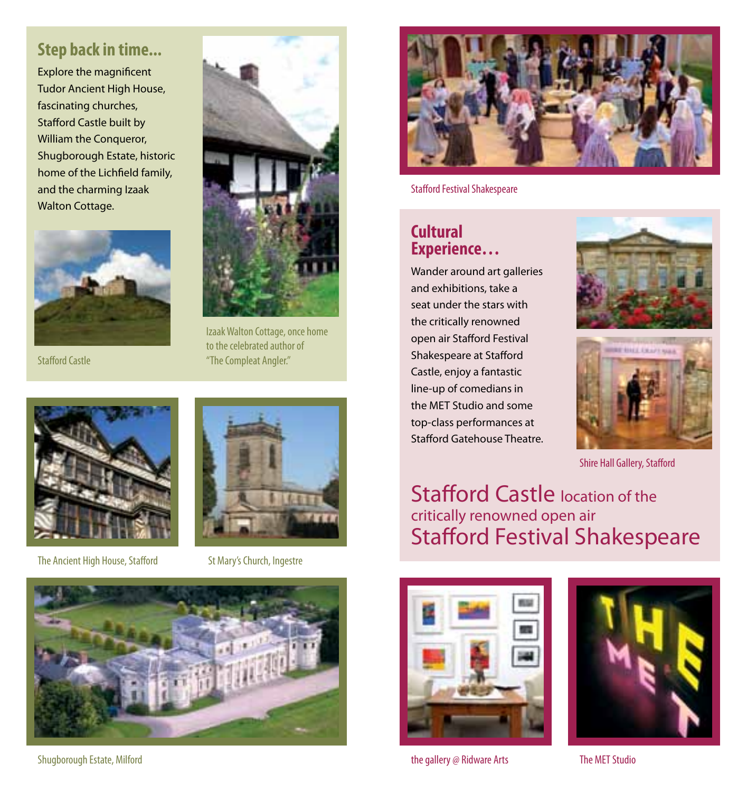#### **Step back in time...**

Explore the magnificent Tudor Ancient High House, fascinating churches, Stafford Castle built by William the Conqueror, Shugborough Estate, historic home of the Lichfield family, and the charming Izaak Walton Cottage.





Izaak Walton Cottage, once home to the celebrated author of **Stafford Castle The Compleat Angler."** The Compleat Angler."



The Ancient High House, Stafford St Mary's Church, Ingestre





Shugborough Estate, Milford



Stafford Festival Shakespeare

#### **Cultural Experience…**

Wander around art galleries and exhibitions, take a seat under the stars with the critically renowned open air Stafford Festival Shakespeare at Stafford Castle, enjoy a fantastic line-up of comedians in the MET Studio and some top-class performances at Stafford Gatehouse Theatre.





Shire Hall Gallery, Stafford

Stafford Castle location of the critically renowned open air Stafford Festival Shakespeare



the gallery @ Ridware Arts

The MET Studio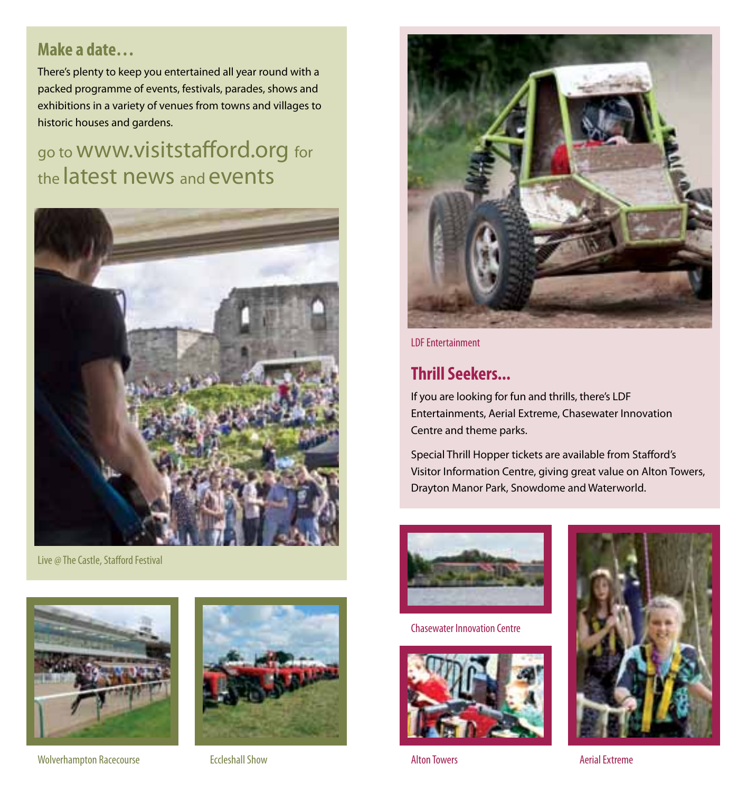#### **Make a date…**

There's plenty to keep you entertained all year round with a packed programme of events, festivals, parades, shows and exhibitions in a variety of venues from towns and villages to historic houses and gardens.

## go to www.visitstafford.org for the latest news and events



Live @ The Castle, Stafford Festival



Wolverhampton Racecourse Eccleshall Show





LDF Entertainment

#### **Thrill Seekers...**

If you are looking for fun and thrills, there's LDF Entertainments, Aerial Extreme, Chasewater Innovation Centre and theme parks.

Special Thrill Hopper tickets are available from Stafford's Visitor Information Centre, giving great value on Alton Towers, Drayton Manor Park, Snowdome and Waterworld.



Chasewater Innovation Centre



Alton Towers **Access** Aerial Extreme